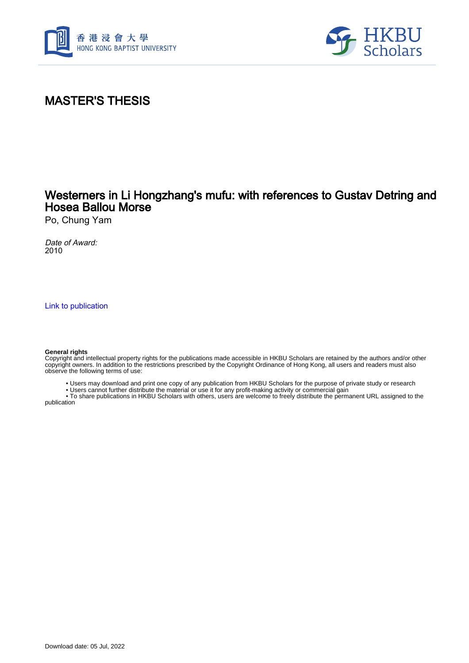



## MASTER'S THESIS

## Westerners in Li Hongzhang's mufu: with references to Gustav Detring and Hosea Ballou Morse

Po, Chung Yam

Date of Award: 2010

[Link to publication](https://scholars.hkbu.edu.hk/en/studentTheses/30591cac-6f77-478b-8e9c-0500b879e5ac)

#### **General rights**

Copyright and intellectual property rights for the publications made accessible in HKBU Scholars are retained by the authors and/or other copyright owners. In addition to the restrictions prescribed by the Copyright Ordinance of Hong Kong, all users and readers must also observe the following terms of use:

- Users may download and print one copy of any publication from HKBU Scholars for the purpose of private study or research
- Users cannot further distribute the material or use it for any profit-making activity or commercial gain

 • To share publications in HKBU Scholars with others, users are welcome to freely distribute the permanent URL assigned to the publication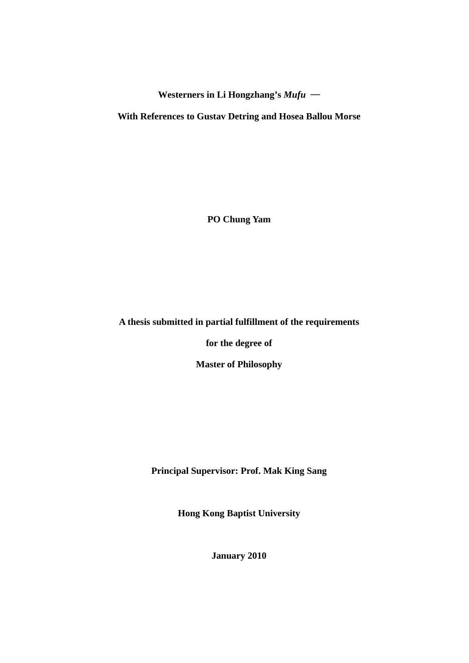**Westerners in Li Hongzhang's** *Mufu* ─

**With References to Gustav Detring and Hosea Ballou Morse** 

**PO Chung Yam** 

### **A thesis submitted in partial fulfillment of the requirements**

**for the degree of** 

**Master of Philosophy** 

**Principal Supervisor: Prof. Mak King Sang** 

**Hong Kong Baptist University** 

**January 2010**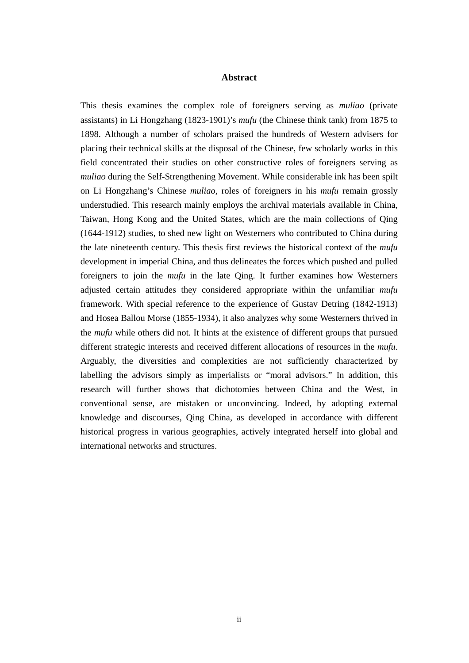### **Abstract**

This thesis examines the complex role of foreigners serving as *muliao* (private assistants) in Li Hongzhang (1823-1901)'s *mufu* (the Chinese think tank) from 1875 to 1898. Although a number of scholars praised the hundreds of Western advisers for placing their technical skills at the disposal of the Chinese, few scholarly works in this field concentrated their studies on other constructive roles of foreigners serving as *muliao* during the Self-Strengthening Movement. While considerable ink has been spilt on Li Hongzhang's Chinese *muliao*, roles of foreigners in his *mufu* remain grossly understudied. This research mainly employs the archival materials available in China, Taiwan, Hong Kong and the United States, which are the main collections of Qing (1644-1912) studies, to shed new light on Westerners who contributed to China during the late nineteenth century. This thesis first reviews the historical context of the *mufu* development in imperial China, and thus delineates the forces which pushed and pulled foreigners to join the *mufu* in the late Qing. It further examines how Westerners adjusted certain attitudes they considered appropriate within the unfamiliar *mufu* framework. With special reference to the experience of Gustav Detring (1842-1913) and Hosea Ballou Morse (1855-1934), it also analyzes why some Westerners thrived in the *mufu* while others did not. It hints at the existence of different groups that pursued different strategic interests and received different allocations of resources in the *mufu*. Arguably, the diversities and complexities are not sufficiently characterized by labelling the advisors simply as imperialists or "moral advisors." In addition, this research will further shows that dichotomies between China and the West, in conventional sense, are mistaken or unconvincing. Indeed, by adopting external knowledge and discourses, Qing China, as developed in accordance with different historical progress in various geographies, actively integrated herself into global and international networks and structures.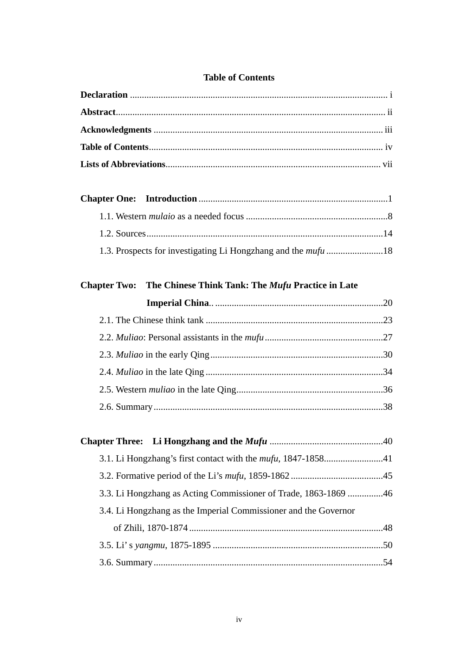### **Table of Contents**

## Chapter Two: The Chinese Think Tank: The Mufu Practice in Late

| 3.3. Li Hongzhang as Acting Commissioner of Trade, 1863-1869 46 |
|-----------------------------------------------------------------|
| 3.4. Li Hongzhang as the Imperial Commissioner and the Governor |
|                                                                 |
|                                                                 |
|                                                                 |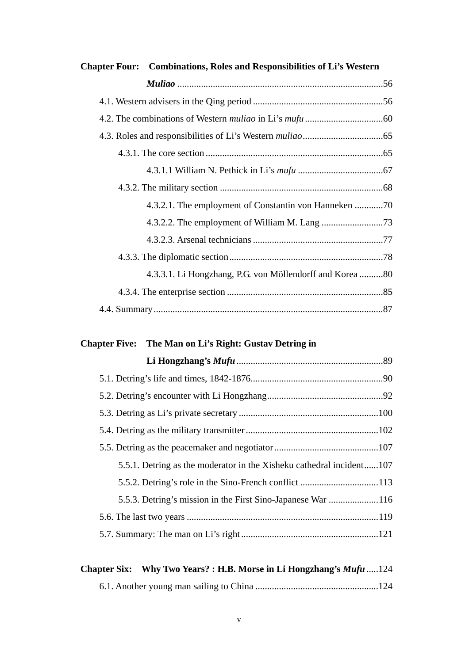| <b>Chapter Four:</b> Combinations, Roles and Responsibilities of Li's Western |  |
|-------------------------------------------------------------------------------|--|
|                                                                               |  |
|                                                                               |  |
|                                                                               |  |
|                                                                               |  |
|                                                                               |  |
|                                                                               |  |
|                                                                               |  |
|                                                                               |  |
|                                                                               |  |
|                                                                               |  |
|                                                                               |  |
| 4.3.3.1. Li Hongzhang, P.G. von Möllendorff and Korea 80                      |  |
|                                                                               |  |
|                                                                               |  |

# **Chapter Five: The Man on Li's Right: Gustav Detring in**

| 5.5.1. Detring as the moderator in the Xisheku cathedral incident107 |  |
|----------------------------------------------------------------------|--|
|                                                                      |  |
|                                                                      |  |
|                                                                      |  |
|                                                                      |  |
|                                                                      |  |

|  | Chapter Six: Why Two Years?: H.B. Morse in Li Hongzhang's Mufu 124 |
|--|--------------------------------------------------------------------|
|  |                                                                    |